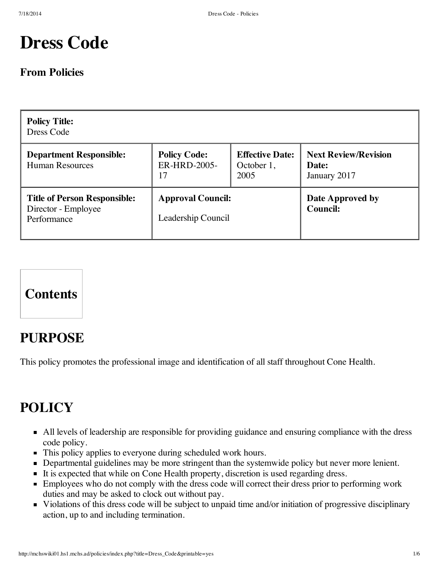# **Dress Code**

### **From Policies**

| <b>Policy Title:</b><br>Dress Code                                        |                                                |                                              |                                                      |  |  |  |
|---------------------------------------------------------------------------|------------------------------------------------|----------------------------------------------|------------------------------------------------------|--|--|--|
| <b>Department Responsible:</b><br><b>Human Resources</b>                  | <b>Policy Code:</b><br>ER-HRD-2005-<br>17      | <b>Effective Date:</b><br>October 1,<br>2005 | <b>Next Review/Revision</b><br>Date:<br>January 2017 |  |  |  |
| <b>Title of Person Responsible:</b><br>Director - Employee<br>Performance | <b>Approval Council:</b><br>Leadership Council |                                              | Date Approved by<br><b>Council:</b>                  |  |  |  |



# **PURPOSE**

This policy promotes the professional image and identification of all staff throughout Cone Health.

# **POLICY**

- All levels of leadership are responsible for providing guidance and ensuring compliance with the dress code policy.
- This policy applies to everyone during scheduled work hours.
- Departmental guidelines may be more stringent than the systemwide policy but never more lenient.
- It is expected that while on Cone Health property, discretion is used regarding dress.
- **Employees** who do not comply with the dress code will correct their dress prior to performing work duties and may be asked to clock out without pay.
- Violations of this dress code will be subject to unpaid time and/or initiation of progressive disciplinary action, up to and including termination.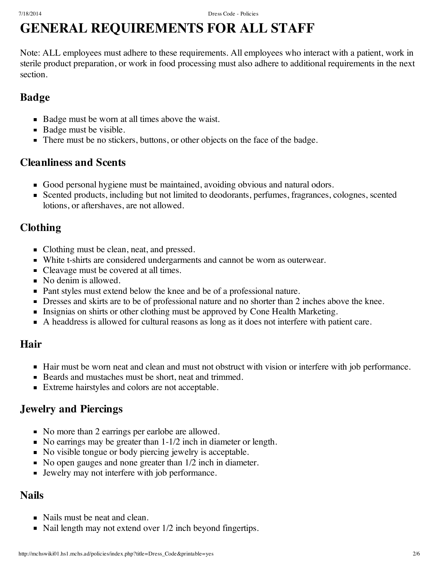# **GENERAL REQUIREMENTS FOR ALL STAFF**

Note: ALL employees must adhere to these requirements. All employees who interact with a patient, work in sterile product preparation, or work in food processing must also adhere to additional requirements in the next section.

## **Badge**

- Badge must be worn at all times above the waist.
- Badge must be visible.
- There must be no stickers, buttons, or other objects on the face of the badge.

### **Cleanliness and Scents**

- Good personal hygiene must be maintained, avoiding obvious and natural odors.
- Scented products, including but not limited to deodorants, perfumes, fragrances, colognes, scented lotions, or aftershaves, are not allowed.

## **Clothing**

- Clothing must be clean, neat, and pressed.
- White t-shirts are considered undergarments and cannot be worn as outerwear.
- Cleavage must be covered at all times.
- No denim is allowed.
- Pant styles must extend below the knee and be of a professional nature.
- **Dresses and skirts are to be of professional nature and no shorter than 2 inches above the knee.**
- Insignias on shirts or other clothing must be approved by Cone Health Marketing.
- A headdress is allowed for cultural reasons as long as it does not interfere with patient care.

## **Hair**

- Hair must be worn neat and clean and must not obstruct with vision or interfere with job performance.
- Beards and mustaches must be short, neat and trimmed.
- Extreme hairstyles and colors are not acceptable.

## **Jewelry and Piercings**

- No more than 2 earrings per earlobe are allowed.
- No earrings may be greater than  $1-1/2$  inch in diameter or length.
- No visible tongue or body piercing jewelry is acceptable.
- No open gauges and none greater than  $1/2$  inch in diameter.
- Jewelry may not interfere with job performance.

## **Nails**

- Nails must be neat and clean.
- Nail length may not extend over 1/2 inch beyond fingertips.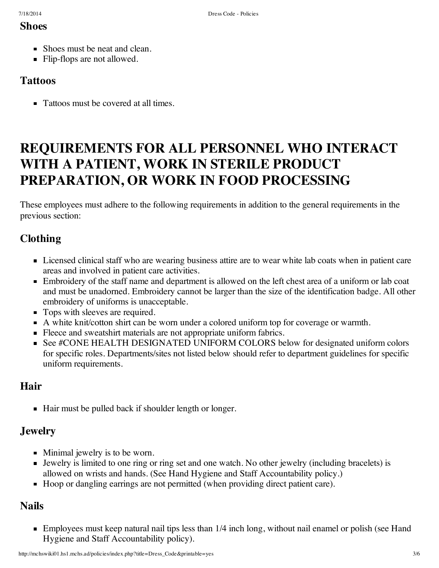#### **Shoes**

- Shoes must be neat and clean.
- **Flip-flops are not allowed.**

#### **Tattoos**

Tattoos must be covered at all times.

# **REQUIREMENTS FOR ALL PERSONNEL WHO INTERACT WITH A PATIENT, WORK IN STERILE PRODUCT PREPARATION, OR WORK IN FOOD PROCESSING**

These employees must adhere to the following requirements in addition to the general requirements in the previous section:

### **Clothing**

- Licensed clinical staff who are wearing business attire are to wear white lab coats when in patient care areas and involved in patient care activities.
- Embroidery of the staff name and department is allowed on the left chest area of a uniform or lab coat and must be unadorned. Embroidery cannot be larger than the size of the identification badge. All other embroidery of uniforms is unacceptable.
- Tops with sleeves are required.
- A white knit/cotton shirt can be worn under a colored uniform top for coverage or warmth.
- Fleece and sweatshirt materials are not appropriate uniform fabrics.
- See #CONE HEALTH DESIGNATED UNIFORM COLORS below for designated uniform colors for specific roles. Departments/sites not listed below should refer to department guidelines for specific uniform requirements.

### **Hair**

■ Hair must be pulled back if shoulder length or longer.

## **Jewelry**

- Minimal jewelry is to be worn.
- Jewelry is limited to one ring or ring set and one watch. No other jewelry (including bracelets) is allowed on wrists and hands. (See Hand Hygiene and Staff [Accountability](http://mchswiki01.hs1.mchs.ad/policies/index.php?title=Hand_Hygiene_and_Staff_Accountability) policy.)
- Hoop or dangling earrings are not permitted (when providing direct patient care).

## **Nails**

**Employees must keep natural nail tips less than 1/4 inch long, without nail enamel or polish (see Hand** Hygiene and Staff [Accountability](http://mchswiki01.hs1.mchs.ad/policies/index.php?title=Hand_Hygiene_and_Staff_Accountability) policy).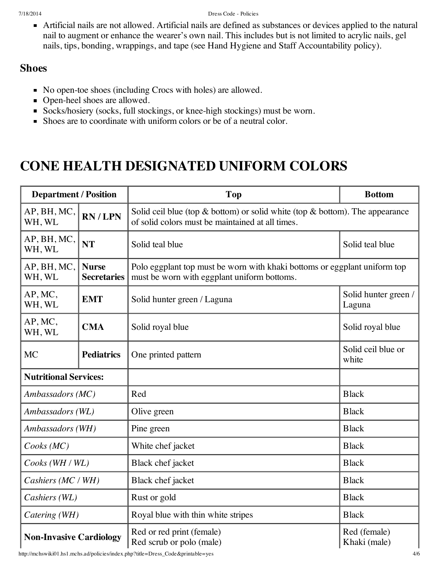Artificial nails are not allowed. Artificial nails are defined as substances or devices applied to the natural nail to augment or enhance the wearer's own nail. This includes but is not limited to acrylic nails, gel nails, tips, bonding, wrappings, and tape (see Hand Hygiene and Staff [Accountability](http://mchswiki01.hs1.mchs.ad/policies/index.php?title=Hand_Hygiene_and_Staff_Accountability) policy).

### **Shoes**

- No open-toe shoes (including Crocs with holes) are allowed.
- Open-heel shoes are allowed.
- Socks/hosiery (socks, full stockings, or knee-high stockings) must be worn.
- Shoes are to coordinate with uniform colors or be of a neutral color.

# **CONE HEALTH DESIGNATED UNIFORM COLORS**

| <b>Department / Position</b>   |                                    | Top                                                                                                                                    | <b>Bottom</b>                  |  |
|--------------------------------|------------------------------------|----------------------------------------------------------------------------------------------------------------------------------------|--------------------------------|--|
| AP, BH, MC,<br>WH, WL          | RN/LPN                             | Solid ceil blue (top $\&$ bottom) or solid white (top $\&$ bottom). The appearance<br>of solid colors must be maintained at all times. |                                |  |
| AP, BH, MC,<br>WH, WL          | <b>NT</b>                          | Solid teal blue                                                                                                                        | Solid teal blue                |  |
| AP, BH, MC,<br>WH, WL          | <b>Nurse</b><br><b>Secretaries</b> | Polo eggplant top must be worn with khaki bottoms or eggplant uniform top<br>must be worn with eggplant uniform bottoms.               |                                |  |
| AP, MC,<br>WH, WL              | <b>EMT</b>                         | Solid hunter green / Laguna                                                                                                            | Solid hunter green /<br>Laguna |  |
| AP, MC,<br>WH, WL              | <b>CMA</b>                         | Solid royal blue                                                                                                                       | Solid royal blue               |  |
| <b>MC</b>                      | <b>Pediatrics</b>                  | One printed pattern                                                                                                                    | Solid ceil blue or<br>white    |  |
| <b>Nutritional Services:</b>   |                                    |                                                                                                                                        |                                |  |
| Ambassadors (MC)               |                                    | Red                                                                                                                                    | <b>Black</b>                   |  |
| Ambassadors (WL)               |                                    | Olive green                                                                                                                            | <b>Black</b>                   |  |
| Ambassadors (WH)               |                                    | Pine green                                                                                                                             | <b>Black</b>                   |  |
| Cooks(MC)                      |                                    | White chef jacket                                                                                                                      | <b>Black</b>                   |  |
| Cooks (WH / WL)                |                                    | Black chef jacket                                                                                                                      | <b>Black</b>                   |  |
| Cashiers (MC / WH)             |                                    | Black chef jacket                                                                                                                      | <b>Black</b>                   |  |
| Cashiers (WL)                  |                                    | Rust or gold                                                                                                                           | <b>Black</b>                   |  |
| Catering (WH)                  |                                    | Royal blue with thin white stripes                                                                                                     | <b>Black</b>                   |  |
| <b>Non-Invasive Cardiology</b> |                                    | Red or red print (female)<br>Red scrub or polo (male)                                                                                  | Red (female)<br>Khaki (male)   |  |

http://mchswiki01.hs1.mchs.ad/policies/index.php?title=Dress\_Code&printable=yes 4/6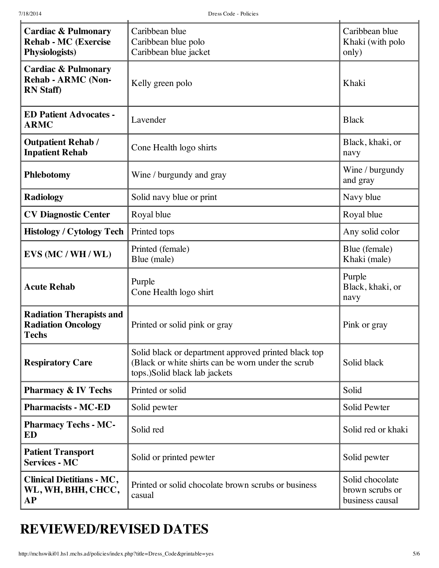| <b>Cardiac &amp; Pulmonary</b><br><b>Rehab - MC (Exercise</b><br><b>Physiologists</b> ) | Caribbean blue<br>Caribbean blue polo<br>Caribbean blue jacket                                                                              | Caribbean blue<br>Khaki (with polo<br>only)           |
|-----------------------------------------------------------------------------------------|---------------------------------------------------------------------------------------------------------------------------------------------|-------------------------------------------------------|
| <b>Cardiac &amp; Pulmonary</b><br><b>Rehab - ARMC (Non-</b><br><b>RN</b> Staff)         | Kelly green polo                                                                                                                            | Khaki                                                 |
| <b>ED Patient Advocates -</b><br><b>ARMC</b>                                            | Lavender                                                                                                                                    | <b>Black</b>                                          |
| <b>Outpatient Rehab /</b><br><b>Inpatient Rehab</b>                                     | Cone Health logo shirts                                                                                                                     | Black, khaki, or<br>navy                              |
| Phlebotomy                                                                              | Wine / burgundy and gray                                                                                                                    | Wine / burgundy<br>and gray                           |
| <b>Radiology</b>                                                                        | Solid navy blue or print                                                                                                                    | Navy blue                                             |
| <b>CV Diagnostic Center</b>                                                             | Royal blue                                                                                                                                  | Royal blue                                            |
| <b>Histology / Cytology Tech</b>                                                        | Printed tops                                                                                                                                | Any solid color                                       |
| EVS (MC / WH / WL)                                                                      | Printed (female)<br>Blue (male)                                                                                                             | Blue (female)<br>Khaki (male)                         |
| <b>Acute Rehab</b>                                                                      | Purple<br>Cone Health logo shirt                                                                                                            | Purple<br>Black, khaki, or<br>navy                    |
| <b>Radiation Therapists and</b><br><b>Radiation Oncology</b><br><b>Techs</b>            | Printed or solid pink or gray                                                                                                               | Pink or gray                                          |
| <b>Respiratory Care</b>                                                                 | Solid black or department approved printed black top<br>(Black or white shirts can be worn under the scrub<br>tops.)Solid black lab jackets | Solid black                                           |
| <b>Pharmacy &amp; IV Techs</b>                                                          | Printed or solid                                                                                                                            | Solid                                                 |
| <b>Pharmacists - MC-ED</b>                                                              | Solid pewter                                                                                                                                | Solid Pewter                                          |
| <b>Pharmacy Techs - MC-</b><br>Solid red<br>ED                                          |                                                                                                                                             | Solid red or khaki                                    |
| <b>Patient Transport</b><br><b>Services - MC</b>                                        | Solid or printed pewter                                                                                                                     | Solid pewter                                          |
| <b>Clinical Dietitians - MC,</b><br>WL, WH, BHH, CHCC,<br>АP                            | Printed or solid chocolate brown scrubs or business<br>casual                                                                               | Solid chocolate<br>brown scrubs or<br>business causal |

# **REVIEWED/REVISED DATES**